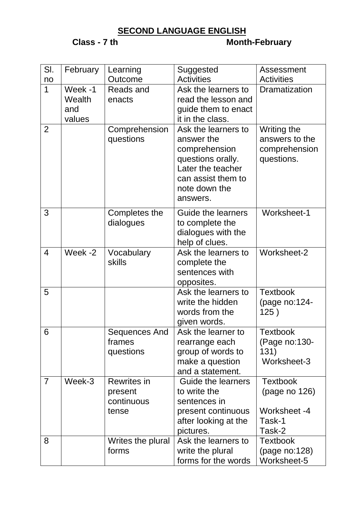## **SECOND LANGUAGE ENGLISH**

## **Class - 7 th Month-February**

| SI.            | February                           | Learning                                             | Suggested                                                                                                                                       | Assessment                                                           |
|----------------|------------------------------------|------------------------------------------------------|-------------------------------------------------------------------------------------------------------------------------------------------------|----------------------------------------------------------------------|
| no             |                                    | Outcome                                              | <b>Activities</b>                                                                                                                               | <b>Activities</b>                                                    |
| $\overline{1}$ | Week -1<br>Wealth<br>and<br>values | Reads and<br>enacts                                  | Ask the learners to<br>read the lesson and<br>guide them to enact<br>it in the class.                                                           | Dramatization                                                        |
| $\overline{2}$ |                                    | Comprehension<br>questions                           | Ask the learners to<br>answer the<br>comprehension<br>questions orally.<br>Later the teacher<br>can assist them to<br>note down the<br>answers. | Writing the<br>answers to the<br>comprehension<br>questions.         |
| 3              |                                    | Completes the<br>dialogues                           | <b>Guide the learners</b><br>to complete the<br>dialogues with the<br>help of clues.                                                            | Worksheet-1                                                          |
| $\overline{4}$ | Week -2                            | Vocabulary<br>skills                                 | Ask the learners to<br>complete the<br>sentences with<br>opposites.                                                                             | Worksheet-2                                                          |
| 5              |                                    |                                                      | Ask the learners to<br>write the hidden<br>words from the<br>given words.                                                                       | <b>Textbook</b><br>(page no:124-<br>125)                             |
| 6              |                                    | Sequences And<br>frames<br>questions                 | Ask the learner to<br>rearrange each<br>group of words to<br>make a question<br>and a statement.                                                | <b>Textbook</b><br>(Page no:130-<br>131)<br>Worksheet-3              |
| $\overline{7}$ | Week-3                             | <b>Rewrites in</b><br>present<br>continuous<br>tense | <b>Guide the learners</b><br>to write the<br>sentences in<br>present continuous<br>after looking at the<br>pictures.                            | <b>Textbook</b><br>(page no 126)<br>Worksheet -4<br>Task-1<br>Task-2 |
| 8              |                                    | Writes the plural<br>forms                           | Ask the learners to<br>write the plural<br>forms for the words                                                                                  | <b>Textbook</b><br>(page no:128)<br>Worksheet-5                      |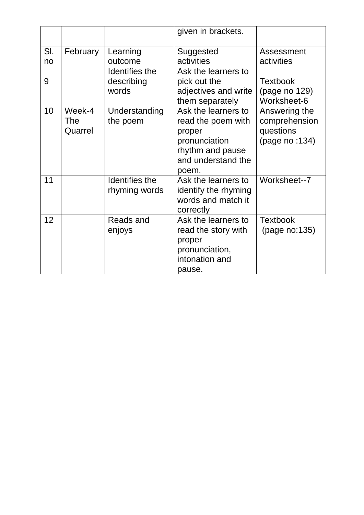|           |                          |                                       | given in brackets.                                                                                                      |                                                               |
|-----------|--------------------------|---------------------------------------|-------------------------------------------------------------------------------------------------------------------------|---------------------------------------------------------------|
| SI.<br>no | February                 | Learning<br>outcome                   | Suggested<br>activities                                                                                                 | Assessment<br>activities                                      |
| 9         |                          | Identifies the<br>describing<br>words | Ask the learners to<br>pick out the<br>adjectives and write<br>them separately                                          | <b>Textbook</b><br>(page no 129)<br>Worksheet-6               |
| 10        | Week-4<br>The<br>Quarrel | Understanding<br>the poem             | Ask the learners to<br>read the poem with<br>proper<br>pronunciation<br>rhythm and pause<br>and understand the<br>poem. | Answering the<br>comprehension<br>questions<br>(page no :134) |
| 11        |                          | Identifies the<br>rhyming words       | Ask the learners to<br>identify the rhyming<br>words and match it<br>correctly                                          | Worksheet--7                                                  |
| 12        |                          | Reads and<br>enjoys                   | Ask the learners to<br>read the story with<br>proper<br>pronunciation,<br>intonation and<br>pause.                      | <b>Textbook</b><br>(page no:135)                              |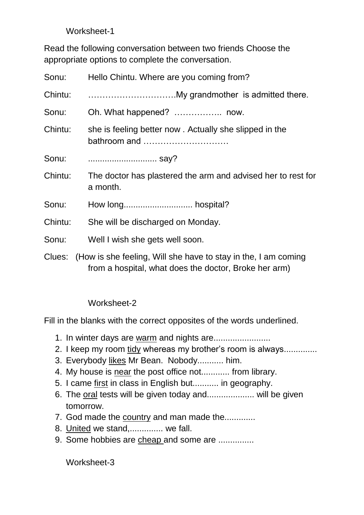Worksheet-1

Read the following conversation between two friends Choose the appropriate options to complete the conversation.

| Sonu:   | Hello Chintu. Where are you coming from?                                                                                       |
|---------|--------------------------------------------------------------------------------------------------------------------------------|
| Chintu: |                                                                                                                                |
| Sonu:   |                                                                                                                                |
| Chintu: | she is feeling better now. Actually she slipped in the<br>bathroom and                                                         |
| Sonu:   |                                                                                                                                |
| Chintu: | The doctor has plastered the arm and advised her to rest for<br>a month.                                                       |
| Sonu:   |                                                                                                                                |
| Chintu: | She will be discharged on Monday.                                                                                              |
| Sonu:   | Well I wish she gets well soon.                                                                                                |
|         | Clues: (How is she feeling, Will she have to stay in the, I am coming<br>from a hospital, what does the doctor, Broke her arm) |

Worksheet-2

Fill in the blanks with the correct opposites of the words underlined.

- 1. In winter days are warm and nights are.......................
- 2. I keep my room tidy whereas my brother's room is always..............
- 3. Everybody likes Mr Bean. Nobody........... him.
- 4. My house is near the post office not............ from library.
- 5. I came first in class in English but........... in geography.
- 6. The oral tests will be given today and.................... will be given tomorrow.
- 7. God made the country and man made the.............
- 8. United we stand,.............. we fall.
- 9. Some hobbies are cheap and some are ...............

Worksheet-3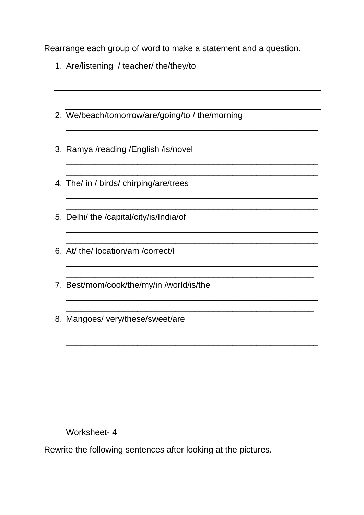Rearrange each group of word to make a statement and a question.

\_\_\_\_\_\_\_\_\_\_\_\_\_\_\_\_\_\_\_\_\_\_\_\_\_\_\_\_\_\_\_\_\_\_\_\_\_\_\_\_\_\_\_\_\_\_\_\_\_\_\_\_\_ \_\_\_\_\_\_\_\_\_\_\_\_\_\_\_\_\_\_\_\_\_\_\_\_\_\_\_\_\_\_\_\_\_\_\_\_\_\_\_\_\_\_\_\_\_\_\_\_\_\_\_\_\_

\_\_\_\_\_\_\_\_\_\_\_\_\_\_\_\_\_\_\_\_\_\_\_\_\_\_\_\_\_\_\_\_\_\_\_\_\_\_\_\_\_\_\_\_\_\_\_\_\_\_\_\_\_ \_\_\_\_\_\_\_\_\_\_\_\_\_\_\_\_\_\_\_\_\_\_\_\_\_\_\_\_\_\_\_\_\_\_\_\_\_\_\_\_\_\_\_\_\_\_\_\_\_\_\_\_\_

\_\_\_\_\_\_\_\_\_\_\_\_\_\_\_\_\_\_\_\_\_\_\_\_\_\_\_\_\_\_\_\_\_\_\_\_\_\_\_\_\_\_\_\_\_\_\_\_\_\_\_\_\_

\_\_\_\_\_\_\_\_\_\_\_\_\_\_\_\_\_\_\_\_\_\_\_\_\_\_\_\_\_\_\_\_\_\_\_\_\_\_\_\_\_\_\_\_\_\_\_\_\_\_\_\_\_ \_\_\_\_\_\_\_\_\_\_\_\_\_\_\_\_\_\_\_\_\_\_\_\_\_\_\_\_\_\_\_\_\_\_\_\_\_\_\_\_\_\_\_\_\_\_\_\_\_\_\_\_\_

\_\_\_\_\_\_\_\_\_\_\_\_\_\_\_\_\_\_\_\_\_\_\_\_\_\_\_\_\_\_\_\_\_\_\_\_\_\_\_\_\_\_\_\_\_\_\_\_\_\_\_\_\_ \_\_\_\_\_\_\_\_\_\_\_\_\_\_\_\_\_\_\_\_\_\_\_\_\_\_\_\_\_\_\_\_\_\_\_\_\_\_\_\_\_\_\_\_\_\_\_\_\_\_\_\_

\_\_\_\_\_\_\_\_\_\_\_\_\_\_\_\_\_\_\_\_\_\_\_\_\_\_\_\_\_\_\_\_\_\_\_\_\_\_\_\_\_\_\_\_\_\_\_\_\_\_\_\_

\_\_\_\_\_\_\_\_\_\_\_\_\_\_\_\_\_\_\_\_\_\_\_\_\_\_\_\_\_\_\_\_\_\_\_\_\_\_\_\_\_\_\_\_\_\_\_\_\_\_\_\_\_ \_\_\_\_\_\_\_\_\_\_\_\_\_\_\_\_\_\_\_\_\_\_\_\_\_\_\_\_\_\_\_\_\_\_\_\_\_\_\_\_\_\_\_\_\_\_\_\_\_\_\_\_

 $\mathcal{L}_\text{max}$  , and the contract of the contract of the contract of the contract of the contract of the contract of

\_\_\_\_\_\_\_\_\_\_\_\_\_\_\_\_\_\_\_\_\_\_\_\_\_\_\_\_\_\_\_\_\_\_\_\_\_\_\_\_\_\_\_\_\_\_\_\_\_\_\_\_\_

- 1. Are/listening / teacher/ the/they/to
- 2. We/beach/tomorrow/are/going/to / the/morning
- 3. Ramya /reading /English /is/novel
- 4. The/ in / birds/ chirping/are/trees
- 5. Delhi/ the /capital/city/is/India/of
- 6. At/ the/ location/am /correct/I
- 7. Best/mom/cook/the/my/in /world/is/the
- 8. Mangoes/ very/these/sweet/are

Worksheet- 4

Rewrite the following sentences after looking at the pictures.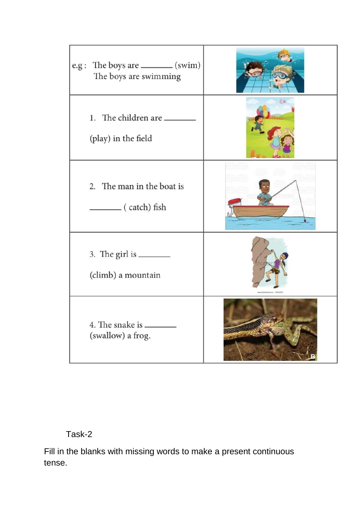

Task-2

Fill in the blanks with missing words to make a present continuous tense.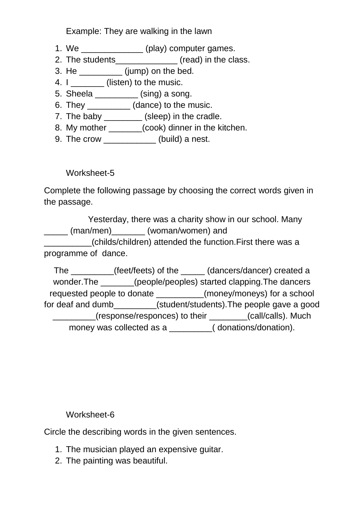Example: They are walking in the lawn

- 1. We **example 20** (play) computer games.
- 2. The students (read) in the class.
- 3. He \_\_\_\_\_\_\_\_\_ (jump) on the bed.
- 4. I (listen) to the music.
- 5. Sheela \_\_\_\_\_\_\_\_\_ (sing) a song.
- 6. They \_\_\_\_\_\_\_\_\_ (dance) to the music.
- 7. The baby \_\_\_\_\_\_\_\_ (sleep) in the cradle.
- 8. My mother \_\_\_\_\_\_(cook) dinner in the kitchen.
- 9. The crow \_\_\_\_\_\_\_\_\_\_\_ (build) a nest.

Worksheet-5

Complete the following passage by choosing the correct words given in the passage.

Yesterday, there was a charity show in our school. Many (man/men) (woman/women) and \_\_\_\_\_\_\_\_\_\_(childs/children) attended the function.First there was a programme of dance.

The \_\_\_\_\_\_\_\_\_(feet/feets) of the \_\_\_\_\_ (dancers/dancer) created a wonder.The  $(people/people)$  started clapping.The dancers requested people to donate (money/moneys) for a school for deaf and dumb\_\_\_\_\_\_\_\_\_(student/students).The people gave a good \_\_\_\_\_\_\_\_\_(response/responces) to their \_\_\_\_\_\_\_\_(call/calls). Much money was collected as a \_\_\_\_\_\_\_\_\_( donations/donation).

Worksheet-6

Circle the describing words in the given sentences.

- 1. The musician played an expensive guitar.
- 2. The painting was beautiful.